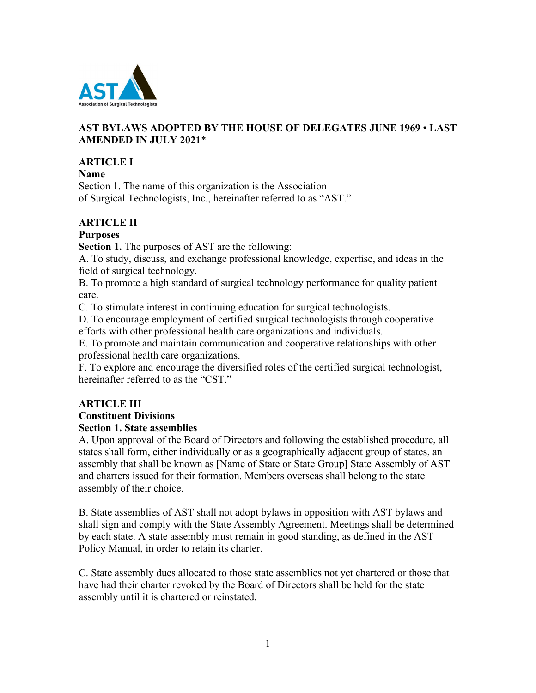

## **AST BYLAWS ADOPTED BY THE HOUSE OF DELEGATES JUNE 1969 • LAST AMENDED IN JULY 2021**\*

## **ARTICLE I**

**Name**

Section 1. The name of this organization is the Association of Surgical Technologists, Inc., hereinafter referred to as "AST."

## **ARTICLE II**

## **Purposes**

**Section 1.** The purposes of AST are the following:

A. To study, discuss, and exchange professional knowledge, expertise, and ideas in the field of surgical technology.

B. To promote a high standard of surgical technology performance for quality patient care.

C. To stimulate interest in continuing education for surgical technologists.

D. To encourage employment of certified surgical technologists through cooperative efforts with other professional health care organizations and individuals.

E. To promote and maintain communication and cooperative relationships with other professional health care organizations.

F. To explore and encourage the diversified roles of the certified surgical technologist, hereinafter referred to as the "CST."

# **ARTICLE III**

# **Constituent Divisions**

## **Section 1. State assemblies**

A. Upon approval of the Board of Directors and following the established procedure, all states shall form, either individually or as a geographically adjacent group of states, an assembly that shall be known as [Name of State or State Group] State Assembly of AST and charters issued for their formation. Members overseas shall belong to the state assembly of their choice.

B. State assemblies of AST shall not adopt bylaws in opposition with AST bylaws and shall sign and comply with the State Assembly Agreement. Meetings shall be determined by each state. A state assembly must remain in good standing, as defined in the AST Policy Manual, in order to retain its charter.

C. State assembly dues allocated to those state assemblies not yet chartered or those that have had their charter revoked by the Board of Directors shall be held for the state assembly until it is chartered or reinstated.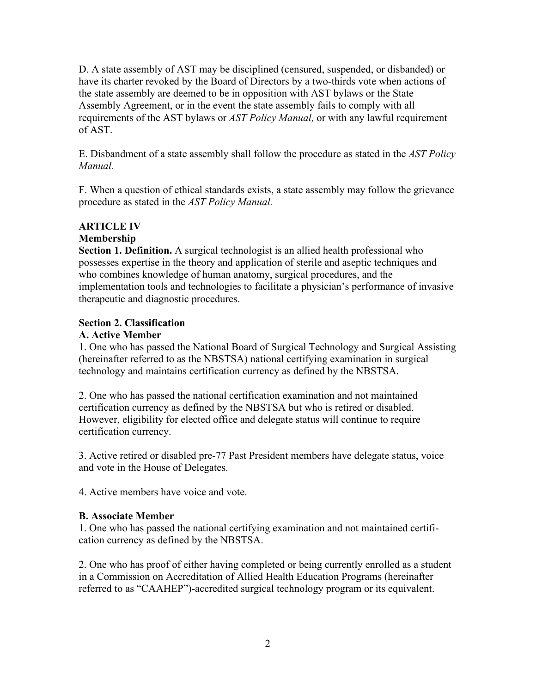D. A state assembly of AST may be disciplined (censured, suspended, or disbanded) or have its charter revoked by the Board of Directors by a two-thirds vote when actions of the state assembly are deemed to be in opposition with AST bylaws or the State Assembly Agreement, or in the event the state assembly fails to comply with all requirements of the AST bylaws or *AST Policy Manual,* or with any lawful requirement of AST.

E. Disbandment of a state assembly shall follow the procedure as stated in the *AST Policy Manual.*

F. When a question of ethical standards exists, a state assembly may follow the grievance procedure as stated in the *AST Policy Manual.*

# **ARTICLE IV Membership**

**Section 1. Definition.** A surgical technologist is an allied health professional who possesses expertise in the theory and application of sterile and aseptic techniques and who combines knowledge of human anatomy, surgical procedures, and the implementation tools and technologies to facilitate a physician's performance of invasive therapeutic and diagnostic procedures.

## **Section 2. Classification**

## **A. Active Member**

1. One who has passed the National Board of Surgical Technology and Surgical Assisting (hereinafter referred to as the NBSTSA) national certifying examination in surgical technology and maintains certification currency as defined by the NBSTSA.

2. One who has passed the national certification examination and not maintained certification currency as defined by the NBSTSA but who is retired or disabled. However, eligibility for elected office and delegate status will continue to require certification currency.

3. Active retired or disabled pre-77 Past President members have delegate status, voice and vote in the House of Delegates.

4. Active members have voice and vote.

## **B. Associate Member**

1. One who has passed the national certifying examination and not maintained certification currency as defined by the NBSTSA.

2. One who has proof of either having completed or being currently enrolled as a student in a Commission on Accreditation of Allied Health Education Programs (hereinafter referred to as "CAAHEP")-accredited surgical technology program or its equivalent.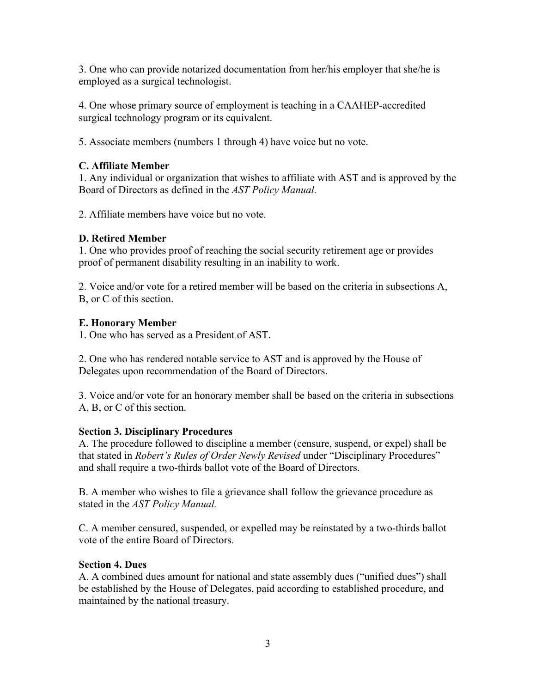3. One who can provide notarized documentation from her/his employer that she/he is employed as a surgical technologist.

4. One whose primary source of employment is teaching in a CAAHEP-accredited surgical technology program or its equivalent.

5. Associate members (numbers 1 through 4) have voice but no vote.

## **C. Affiliate Member**

1. Any individual or organization that wishes to affiliate with AST and is approved by the Board of Directors as defined in the *AST Policy Manual.*

2. Affiliate members have voice but no vote.

# **D. Retired Member**

1. One who provides proof of reaching the social security retirement age or provides proof of permanent disability resulting in an inability to work.

2. Voice and/or vote for a retired member will be based on the criteria in subsections A, B, or C of this section.

## **E. Honorary Member**

1. One who has served as a President of AST.

2. One who has rendered notable service to AST and is approved by the House of Delegates upon recommendation of the Board of Directors.

3. Voice and/or vote for an honorary member shall be based on the criteria in subsections A, B, or C of this section.

# **Section 3. Disciplinary Procedures**

A. The procedure followed to discipline a member (censure, suspend, or expel) shall be that stated in *Robert's Rules of Order Newly Revised* under "Disciplinary Procedures" and shall require a two-thirds ballot vote of the Board of Directors.

B. A member who wishes to file a grievance shall follow the grievance procedure as stated in the *AST Policy Manual.*

C. A member censured, suspended, or expelled may be reinstated by a two-thirds ballot vote of the entire Board of Directors.

## **Section 4. Dues**

A. A combined dues amount for national and state assembly dues ("unified dues") shall be established by the House of Delegates, paid according to established procedure, and maintained by the national treasury.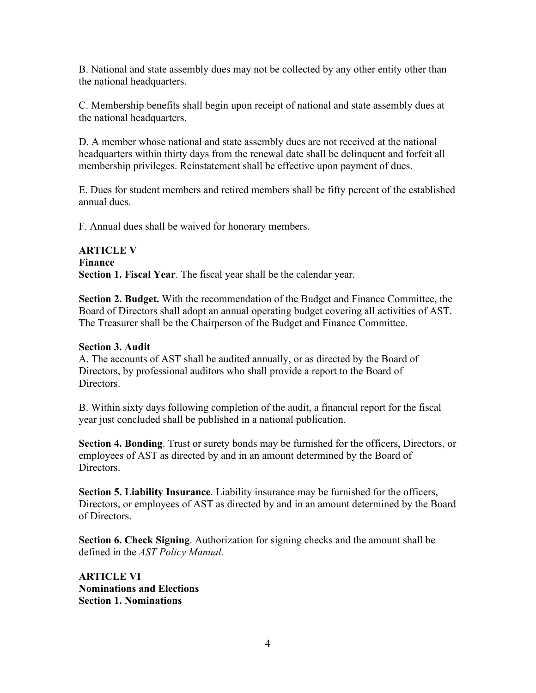B. National and state assembly dues may not be collected by any other entity other than the national headquarters.

C. Membership benefits shall begin upon receipt of national and state assembly dues at the national headquarters.

D. A member whose national and state assembly dues are not received at the national headquarters within thirty days from the renewal date shall be delinquent and forfeit all membership privileges. Reinstatement shall be effective upon payment of dues.

E. Dues for student members and retired members shall be fifty percent of the established annual dues.

F. Annual dues shall be waived for honorary members.

#### **ARTICLE V Finance Section 1. Fiscal Year**. The fiscal year shall be the calendar year.

**Section 2. Budget.** With the recommendation of the Budget and Finance Committee, the Board of Directors shall adopt an annual operating budget covering all activities of AST. The Treasurer shall be the Chairperson of the Budget and Finance Committee.

#### **Section 3. Audit**

A. The accounts of AST shall be audited annually, or as directed by the Board of Directors, by professional auditors who shall provide a report to the Board of Directors.

B. Within sixty days following completion of the audit, a financial report for the fiscal year just concluded shall be published in a national publication.

**Section 4. Bonding**. Trust or surety bonds may be furnished for the officers, Directors, or employees of AST as directed by and in an amount determined by the Board of Directors.

**Section 5. Liability Insurance**. Liability insurance may be furnished for the officers, Directors, or employees of AST as directed by and in an amount determined by the Board of Directors.

**Section 6. Check Signing**. Authorization for signing checks and the amount shall be defined in the *AST Policy Manual.*

**ARTICLE VI Nominations and Elections Section 1. Nominations**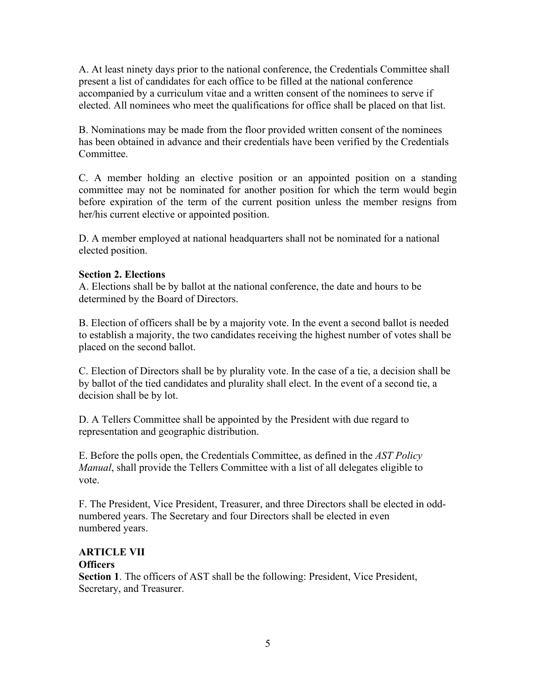A. At least ninety days prior to the national conference, the Credentials Committee shall present a list of candidates for each office to be filled at the national conference accompanied by a curriculum vitae and a written consent of the nominees to serve if elected. All nominees who meet the qualifications for office shall be placed on that list.

B. Nominations may be made from the floor provided written consent of the nominees has been obtained in advance and their credentials have been verified by the Credentials Committee.

C. A member holding an elective position or an appointed position on a standing committee may not be nominated for another position for which the term would begin before expiration of the term of the current position unless the member resigns from her/his current elective or appointed position.

D. A member employed at national headquarters shall not be nominated for a national elected position.

#### **Section 2. Elections**

A. Elections shall be by ballot at the national conference, the date and hours to be determined by the Board of Directors.

B. Election of officers shall be by a majority vote. In the event a second ballot is needed to establish a majority, the two candidates receiving the highest number of votes shall be placed on the second ballot.

C. Election of Directors shall be by plurality vote. In the case of a tie, a decision shall be by ballot of the tied candidates and plurality shall elect. In the event of a second tie, a decision shall be by lot.

D. A Tellers Committee shall be appointed by the President with due regard to representation and geographic distribution.

E. Before the polls open, the Credentials Committee, as defined in the *AST Policy Manual*, shall provide the Tellers Committee with a list of all delegates eligible to vote.

F. The President, Vice President, Treasurer, and three Directors shall be elected in oddnumbered years. The Secretary and four Directors shall be elected in even numbered years.

#### **ARTICLE VII Officers**

**Section 1**. The officers of AST shall be the following: President, Vice President, Secretary, and Treasurer.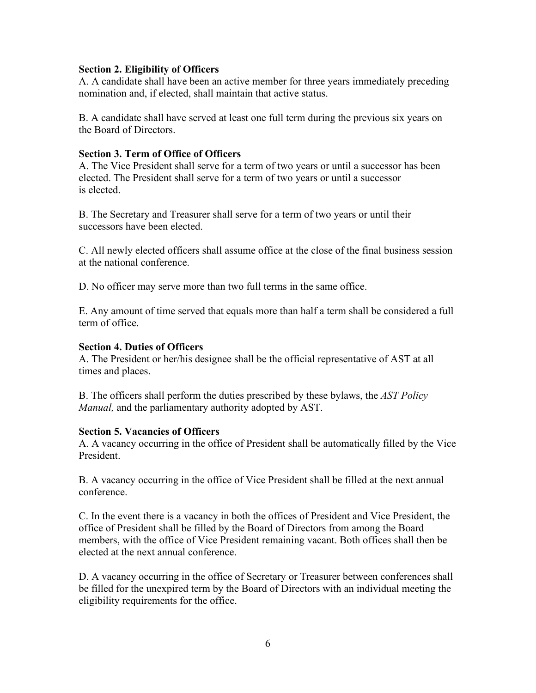#### **Section 2. Eligibility of Officers**

A. A candidate shall have been an active member for three years immediately preceding nomination and, if elected, shall maintain that active status.

B. A candidate shall have served at least one full term during the previous six years on the Board of Directors.

#### **Section 3. Term of Office of Officers**

A. The Vice President shall serve for a term of two years or until a successor has been elected. The President shall serve for a term of two years or until a successor is elected.

B. The Secretary and Treasurer shall serve for a term of two years or until their successors have been elected.

C. All newly elected officers shall assume office at the close of the final business session at the national conference.

D. No officer may serve more than two full terms in the same office.

E. Any amount of time served that equals more than half a term shall be considered a full term of office.

#### **Section 4. Duties of Officers**

A. The President or her/his designee shall be the official representative of AST at all times and places.

B. The officers shall perform the duties prescribed by these bylaws, the *AST Policy Manual,* and the parliamentary authority adopted by AST.

#### **Section 5. Vacancies of Officers**

A. A vacancy occurring in the office of President shall be automatically filled by the Vice President.

B. A vacancy occurring in the office of Vice President shall be filled at the next annual conference.

C. In the event there is a vacancy in both the offices of President and Vice President, the office of President shall be filled by the Board of Directors from among the Board members, with the office of Vice President remaining vacant. Both offices shall then be elected at the next annual conference.

D. A vacancy occurring in the office of Secretary or Treasurer between conferences shall be filled for the unexpired term by the Board of Directors with an individual meeting the eligibility requirements for the office.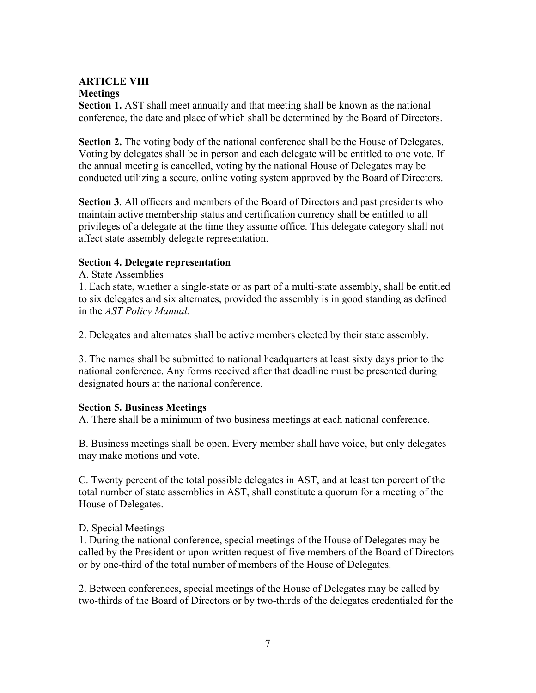## **ARTICLE VIII Meetings**

**Section 1.** AST shall meet annually and that meeting shall be known as the national conference, the date and place of which shall be determined by the Board of Directors.

**Section 2.** The voting body of the national conference shall be the House of Delegates. Voting by delegates shall be in person and each delegate will be entitled to one vote. If the annual meeting is cancelled, voting by the national House of Delegates may be conducted utilizing a secure, online voting system approved by the Board of Directors.

**Section 3**. All officers and members of the Board of Directors and past presidents who maintain active membership status and certification currency shall be entitled to all privileges of a delegate at the time they assume office. This delegate category shall not affect state assembly delegate representation.

#### **Section 4. Delegate representation**

A. State Assemblies

1. Each state, whether a single-state or as part of a multi-state assembly, shall be entitled to six delegates and six alternates, provided the assembly is in good standing as defined in the *AST Policy Manual.*

2. Delegates and alternates shall be active members elected by their state assembly.

3. The names shall be submitted to national headquarters at least sixty days prior to the national conference. Any forms received after that deadline must be presented during designated hours at the national conference.

#### **Section 5. Business Meetings**

A. There shall be a minimum of two business meetings at each national conference.

B. Business meetings shall be open. Every member shall have voice, but only delegates may make motions and vote.

C. Twenty percent of the total possible delegates in AST, and at least ten percent of the total number of state assemblies in AST, shall constitute a quorum for a meeting of the House of Delegates.

#### D. Special Meetings

1. During the national conference, special meetings of the House of Delegates may be called by the President or upon written request of five members of the Board of Directors or by one-third of the total number of members of the House of Delegates.

2. Between conferences, special meetings of the House of Delegates may be called by two-thirds of the Board of Directors or by two-thirds of the delegates credentialed for the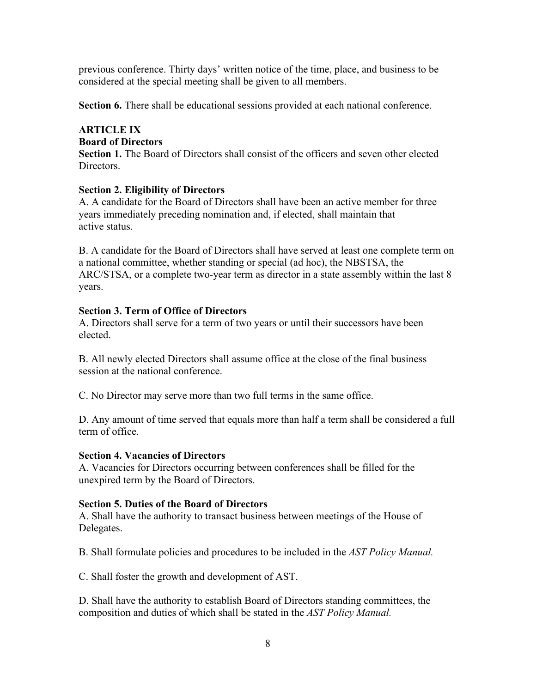previous conference. Thirty days' written notice of the time, place, and business to be considered at the special meeting shall be given to all members.

**Section 6.** There shall be educational sessions provided at each national conference.

# **ARTICLE IX**

#### **Board of Directors**

**Section 1.** The Board of Directors shall consist of the officers and seven other elected Directors.

## **Section 2. Eligibility of Directors**

A. A candidate for the Board of Directors shall have been an active member for three years immediately preceding nomination and, if elected, shall maintain that active status.

B. A candidate for the Board of Directors shall have served at least one complete term on a national committee, whether standing or special (ad hoc), the NBSTSA, the ARC/STSA, or a complete two-year term as director in a state assembly within the last 8 years.

## **Section 3. Term of Office of Directors**

A. Directors shall serve for a term of two years or until their successors have been elected.

B. All newly elected Directors shall assume office at the close of the final business session at the national conference.

C. No Director may serve more than two full terms in the same office.

D. Any amount of time served that equals more than half a term shall be considered a full term of office.

## **Section 4. Vacancies of Directors**

A. Vacancies for Directors occurring between conferences shall be filled for the unexpired term by the Board of Directors.

## **Section 5. Duties of the Board of Directors**

A. Shall have the authority to transact business between meetings of the House of Delegates.

B. Shall formulate policies and procedures to be included in the *AST Policy Manual.*

C. Shall foster the growth and development of AST.

D. Shall have the authority to establish Board of Directors standing committees, the composition and duties of which shall be stated in the *AST Policy Manual.*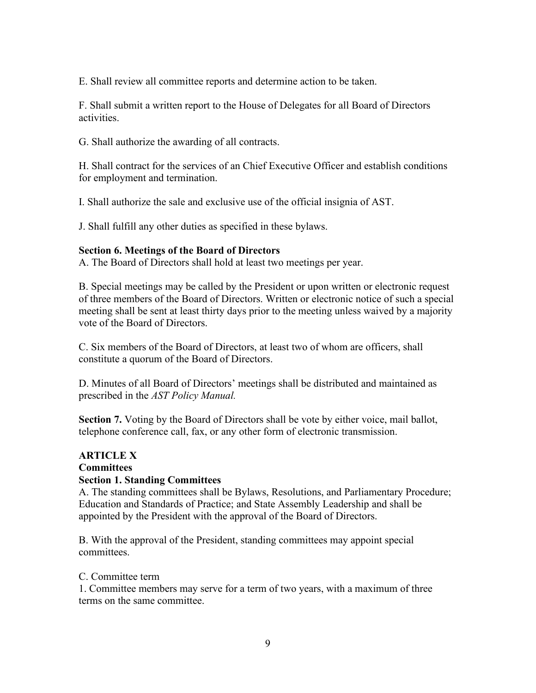E. Shall review all committee reports and determine action to be taken.

F. Shall submit a written report to the House of Delegates for all Board of Directors activities.

G. Shall authorize the awarding of all contracts.

H. Shall contract for the services of an Chief Executive Officer and establish conditions for employment and termination.

I. Shall authorize the sale and exclusive use of the official insignia of AST.

J. Shall fulfill any other duties as specified in these bylaws.

#### **Section 6. Meetings of the Board of Directors**

A. The Board of Directors shall hold at least two meetings per year.

B. Special meetings may be called by the President or upon written or electronic request of three members of the Board of Directors. Written or electronic notice of such a special meeting shall be sent at least thirty days prior to the meeting unless waived by a majority vote of the Board of Directors.

C. Six members of the Board of Directors, at least two of whom are officers, shall constitute a quorum of the Board of Directors.

D. Minutes of all Board of Directors' meetings shall be distributed and maintained as prescribed in the *AST Policy Manual.*

**Section 7.** Voting by the Board of Directors shall be vote by either voice, mail ballot, telephone conference call, fax, or any other form of electronic transmission.

# **ARTICLE X Committees**

## **Section 1. Standing Committees**

A. The standing committees shall be Bylaws, Resolutions, and Parliamentary Procedure; Education and Standards of Practice; and State Assembly Leadership and shall be appointed by the President with the approval of the Board of Directors.

B. With the approval of the President, standing committees may appoint special committees.

#### C. Committee term

1. Committee members may serve for a term of two years, with a maximum of three terms on the same committee.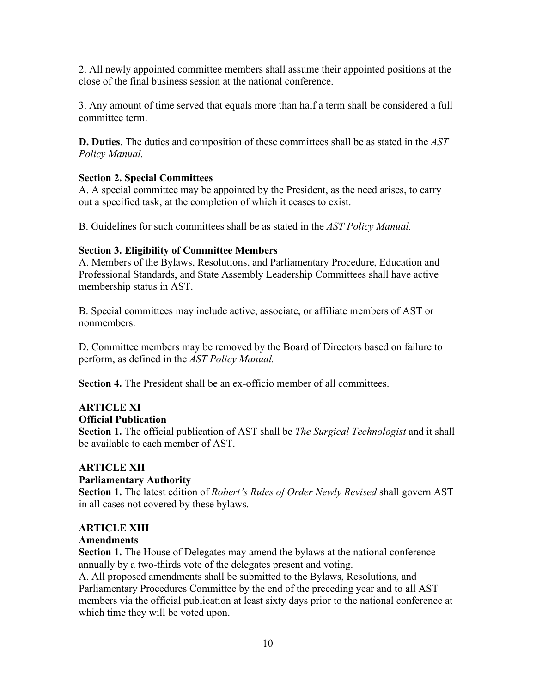2. All newly appointed committee members shall assume their appointed positions at the close of the final business session at the national conference.

3. Any amount of time served that equals more than half a term shall be considered a full committee term.

**D. Duties**. The duties and composition of these committees shall be as stated in the *AST Policy Manual.*

## **Section 2. Special Committees**

A. A special committee may be appointed by the President, as the need arises, to carry out a specified task, at the completion of which it ceases to exist.

B. Guidelines for such committees shall be as stated in the *AST Policy Manual.*

## **Section 3. Eligibility of Committee Members**

A. Members of the Bylaws, Resolutions, and Parliamentary Procedure, Education and Professional Standards, and State Assembly Leadership Committees shall have active membership status in AST.

B. Special committees may include active, associate, or affiliate members of AST or nonmembers.

D. Committee members may be removed by the Board of Directors based on failure to perform, as defined in the *AST Policy Manual.*

**Section 4.** The President shall be an ex-officio member of all committees.

#### **ARTICLE XI Official Publication**

**Section 1.** The official publication of AST shall be *The Surgical Technologist* and it shall be available to each member of AST.

## **ARTICLE XII**

## **Parliamentary Authority**

**Section 1.** The latest edition of *Robert's Rules of Order Newly Revised* shall govern AST in all cases not covered by these bylaws.

## **ARTICLE XIII**

# **Amendments**

**Section 1.** The House of Delegates may amend the bylaws at the national conference annually by a two-thirds vote of the delegates present and voting.

A. All proposed amendments shall be submitted to the Bylaws, Resolutions, and Parliamentary Procedures Committee by the end of the preceding year and to all AST members via the official publication at least sixty days prior to the national conference at which time they will be voted upon.